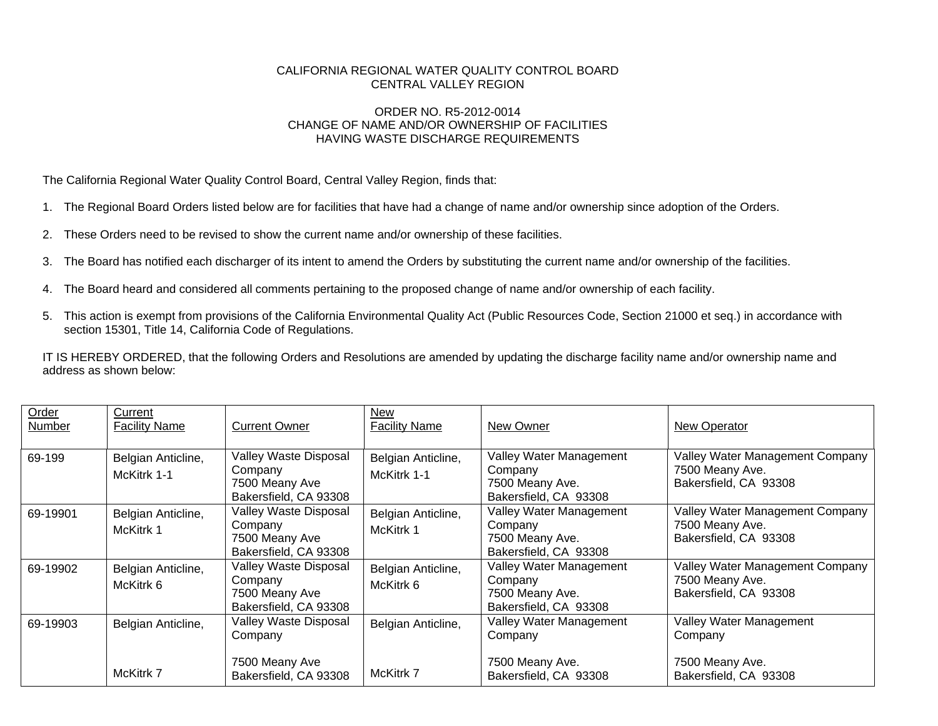## CALIFORNIA REGIONAL WATER QUALITY CONTROL BOARD CENTRAL VALLEY REGION

## ORDER NO. R5-2012-0014 CHANGE OF NAME AND/OR OWNERSHIP OF FACILITIES HAVING WASTE DISCHARGE REQUIREMENTS

The California Regional Water Quality Control Board, Central Valley Region, finds that:

- 1. The Regional Board Orders listed below are for facilities that have had a change of name and/or ownership since adoption of the Orders.
- 2. These Orders need to be revised to show the current name and/or ownership of these facilities.
- 3. The Board has notified each discharger of its intent to amend the Orders by substituting the current name and/or ownership of the facilities.
- 4. The Board heard and considered all comments pertaining to the proposed change of name and/or ownership of each facility.
- 5. This action is exempt from provisions of the California Environmental Quality Act (Public Resources Code, Section 21000 et seq.) in accordance with section 15301, Title 14, California Code of Regulations.

IT IS HEREBY ORDERED, that the following Orders and Resolutions are amended by updating the discharge facility name and/or ownership name and address as shown below:

| Order<br>Number | Current<br><b>Facility Name</b>   | <b>Current Owner</b>                                                        | New<br><b>Facility Name</b>       | New Owner                                                                      | New Operator                                                                |
|-----------------|-----------------------------------|-----------------------------------------------------------------------------|-----------------------------------|--------------------------------------------------------------------------------|-----------------------------------------------------------------------------|
| 69-199          | Belgian Anticline,<br>McKitrk 1-1 | Valley Waste Disposal<br>Company<br>7500 Meany Ave<br>Bakersfield, CA 93308 | Belgian Anticline,<br>McKitrk 1-1 | Valley Water Management<br>Company<br>7500 Meany Ave.<br>Bakersfield, CA 93308 | Valley Water Management Company<br>7500 Meany Ave.<br>Bakersfield, CA 93308 |
| 69-19901        | Belgian Anticline,<br>McKitrk 1   | Valley Waste Disposal<br>Company<br>7500 Meany Ave<br>Bakersfield, CA 93308 | Belgian Anticline,<br>McKitrk 1   | Valley Water Management<br>Company<br>7500 Meany Ave.<br>Bakersfield, CA 93308 | Valley Water Management Company<br>7500 Meany Ave.<br>Bakersfield, CA 93308 |
| 69-19902        | Belgian Anticline,<br>McKitrk 6   | Valley Waste Disposal<br>Company<br>7500 Meany Ave<br>Bakersfield, CA 93308 | Belgian Anticline,<br>McKitrk 6   | Valley Water Management<br>Company<br>7500 Meany Ave.<br>Bakersfield, CA 93308 | Valley Water Management Company<br>7500 Meany Ave.<br>Bakersfield, CA 93308 |
| 69-19903        | Belgian Anticline,                | Valley Waste Disposal<br>Company                                            | Belgian Anticline,                | Valley Water Management<br>Company                                             | Valley Water Management<br>Company                                          |
|                 | McKitrk 7                         | 7500 Meany Ave<br>Bakersfield, CA 93308                                     | McKitrk 7                         | 7500 Meany Ave.<br>Bakersfield, CA 93308                                       | 7500 Meany Ave.<br>Bakersfield, CA 93308                                    |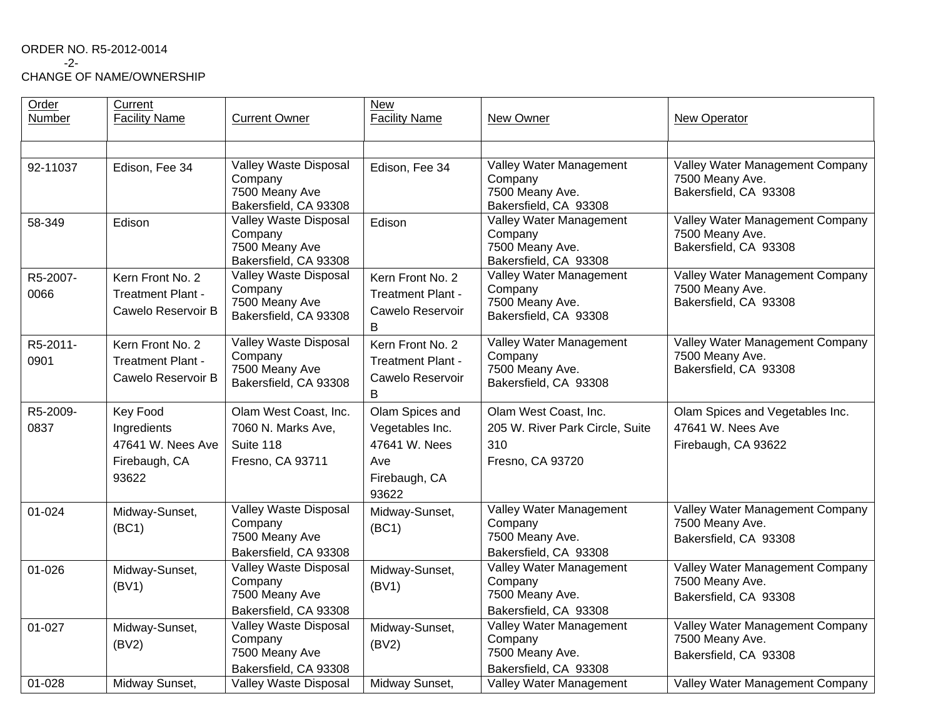## ORDER NO. R5-2012-0014 -2-

CHANGE OF NAME/OWNERSHIP

| Order<br>Number  | Current<br><b>Facility Name</b>                                               | <b>Current Owner</b>                                                               | <b>New</b><br><b>Facility Name</b>                                                   | New Owner                                                                           | New Operator                                                                |
|------------------|-------------------------------------------------------------------------------|------------------------------------------------------------------------------------|--------------------------------------------------------------------------------------|-------------------------------------------------------------------------------------|-----------------------------------------------------------------------------|
|                  |                                                                               |                                                                                    |                                                                                      |                                                                                     |                                                                             |
| 92-11037         | Edison, Fee 34                                                                | Valley Waste Disposal<br>Company<br>7500 Meany Ave<br>Bakersfield, CA 93308        | Edison, Fee 34                                                                       | Valley Water Management<br>Company<br>7500 Meany Ave.<br>Bakersfield, CA 93308      | Valley Water Management Company<br>7500 Meany Ave.<br>Bakersfield, CA 93308 |
| 58-349           | Edison                                                                        | Valley Waste Disposal<br>Company<br>7500 Meany Ave<br>Bakersfield, CA 93308        | Edison                                                                               | Valley Water Management<br>Company<br>7500 Meany Ave.<br>Bakersfield, CA 93308      | Valley Water Management Company<br>7500 Meany Ave.<br>Bakersfield, CA 93308 |
| R5-2007-<br>0066 | Kern Front No. 2<br><b>Treatment Plant -</b><br>Cawelo Reservoir B            | Valley Waste Disposal<br>Company<br>7500 Meany Ave<br>Bakersfield, CA 93308        | Kern Front No. 2<br><b>Treatment Plant -</b><br>Cawelo Reservoir<br>B                | Valley Water Management<br>Company<br>7500 Meany Ave.<br>Bakersfield, CA 93308      | Valley Water Management Company<br>7500 Meany Ave.<br>Bakersfield, CA 93308 |
| R5-2011-<br>0901 | Kern Front No. 2<br><b>Treatment Plant -</b><br>Cawelo Reservoir B            | Valley Waste Disposal<br>Company<br>7500 Meany Ave<br>Bakersfield, CA 93308        | Kern Front No. 2<br><b>Treatment Plant -</b><br>Cawelo Reservoir<br>B                | Valley Water Management<br>Company<br>7500 Meany Ave.<br>Bakersfield, CA 93308      | Valley Water Management Company<br>7500 Meany Ave.<br>Bakersfield, CA 93308 |
| R5-2009-<br>0837 | <b>Key Food</b><br>Ingredients<br>47641 W. Nees Ave<br>Firebaugh, CA<br>93622 | Olam West Coast, Inc.<br>7060 N. Marks Ave,<br>Suite 118<br>Fresno, CA 93711       | Olam Spices and<br>Vegetables Inc.<br>47641 W. Nees<br>Ave<br>Firebaugh, CA<br>93622 | Olam West Coast, Inc.<br>205 W. River Park Circle, Suite<br>310<br>Fresno, CA 93720 | Olam Spices and Vegetables Inc.<br>47641 W. Nees Ave<br>Firebaugh, CA 93622 |
| 01-024           | Midway-Sunset,<br>(BC1)                                                       | <b>Valley Waste Disposal</b><br>Company<br>7500 Meany Ave<br>Bakersfield, CA 93308 | Midway-Sunset,<br>(BC1)                                                              | Valley Water Management<br>Company<br>7500 Meany Ave.<br>Bakersfield, CA 93308      | Valley Water Management Company<br>7500 Meany Ave.<br>Bakersfield, CA 93308 |
| 01-026           | Midway-Sunset,<br>(BV1)                                                       | <b>Valley Waste Disposal</b><br>Company<br>7500 Meany Ave<br>Bakersfield, CA 93308 | Midway-Sunset,<br>(BV1)                                                              | Valley Water Management<br>Company<br>7500 Meany Ave.<br>Bakersfield, CA 93308      | Valley Water Management Company<br>7500 Meany Ave.<br>Bakersfield, CA 93308 |
| 01-027           | Midway-Sunset,<br>(BV2)                                                       | Valley Waste Disposal<br>Company<br>7500 Meany Ave<br>Bakersfield, CA 93308        | Midway-Sunset,<br>(BV2)                                                              | Valley Water Management<br>Company<br>7500 Meany Ave.<br>Bakersfield, CA 93308      | Valley Water Management Company<br>7500 Meany Ave.<br>Bakersfield, CA 93308 |
| $01 - 028$       | Midway Sunset,                                                                | Valley Waste Disposal                                                              | Midway Sunset,                                                                       | Valley Water Management                                                             | Valley Water Management Company                                             |